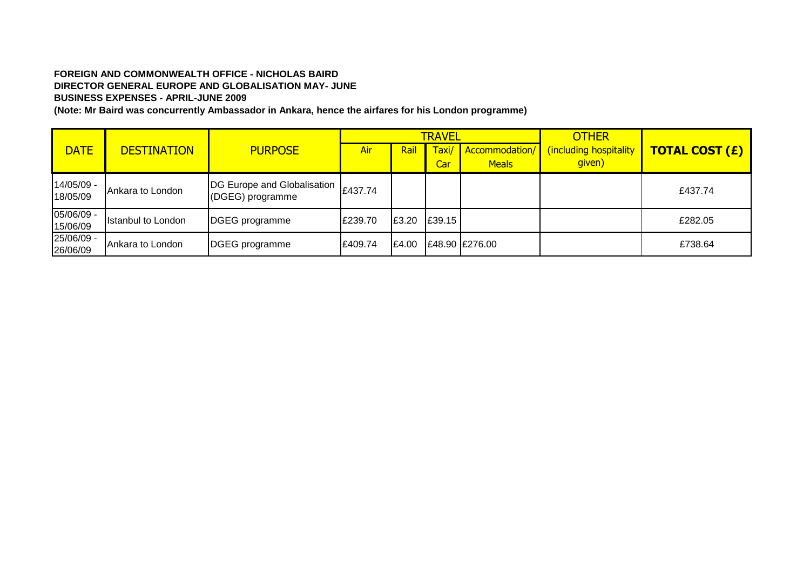## **FOREIGN AND COMMONWEALTH OFFICE - NICHOLAS BAIRD DIRECTOR GENERAL EUROPE AND GLOBALISATION MAY- JUNE BUSINESS EXPENSES - APRIL-JUNE 2009**

**(Note: Mr Baird was concurrently Ambassador in Ankara, hence the airfares for his London programme)**

|                          |                                      |                                                 |         |             | <b>TRAVEL</b> |                                | <b>OTHER</b>                     |                       |  |
|--------------------------|--------------------------------------|-------------------------------------------------|---------|-------------|---------------|--------------------------------|----------------------------------|-----------------------|--|
| <b>DATE</b>              | <b>PURPOSE</b><br><b>DESTINATION</b> |                                                 | Air     | <u>Rail</u> | Taxi/<br>Car  | Accommodation/<br><b>Meals</b> | (including hospitality<br>given) | <b>TOTAL COST (£)</b> |  |
| $14/05/09 -$<br>18/05/09 | Ankara to London                     | DG Europe and Globalisation<br>(DGEG) programme | £437.74 |             |               |                                |                                  | £437.74               |  |
| 05/06/09 -<br>15/06/09   | <b>Istanbul to London</b>            | DGEG programme                                  | £239.70 | £3.20       | £39.15        |                                |                                  | £282.05               |  |
| 25/06/09 -<br>26/06/09   | Ankara to London                     | DGEG programme                                  | £409.74 | £4.00       |               | £48.90 £276.00                 |                                  | £738.64               |  |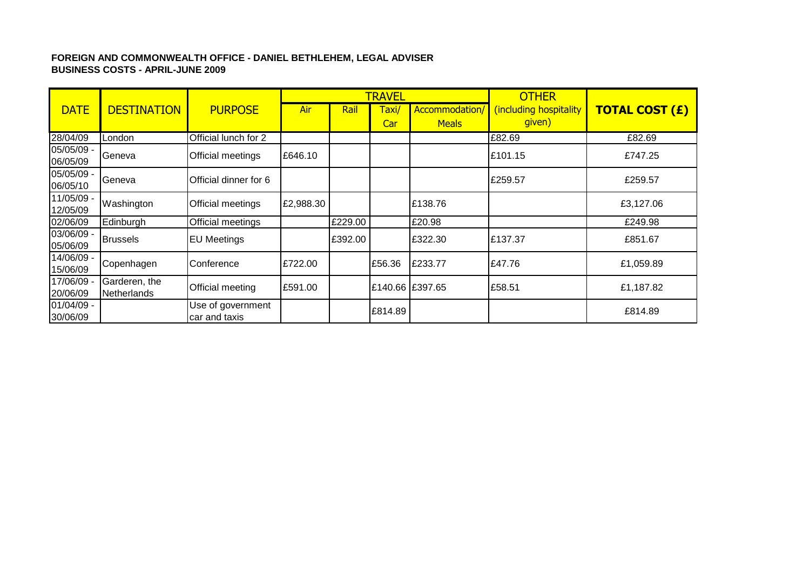## **FOREIGN AND COMMONWEALTH OFFICE - DANIEL BETHLEHEM, LEGAL ADVISER BUSINESS COSTS - APRIL-JUNE 2009**

|                        |                              |                                    |           |         | <b>TRAVEL</b>   |                | <b>OTHER</b>           |                       |
|------------------------|------------------------------|------------------------------------|-----------|---------|-----------------|----------------|------------------------|-----------------------|
| <b>DATE</b>            | <b>DESTINATION</b>           | <b>PURPOSE</b>                     | Air       | Rail    | Taxi/           | Accommodation/ | (including hospitality | <b>TOTAL COST (£)</b> |
|                        |                              |                                    |           |         | Car             | <b>Meals</b>   | given)                 |                       |
| 28/04/09               | London                       | Official lunch for 2               |           |         |                 |                | £82.69                 | £82.69                |
| 05/05/09 -<br>06/05/09 | Geneva                       | Official meetings                  | £646.10   |         |                 |                | £101.15                | £747.25               |
| 05/05/09 -<br>06/05/10 | Geneva                       | Official dinner for 6              |           |         |                 |                | £259.57                | £259.57               |
| 11/05/09<br>12/05/09   | Washington                   | Official meetings                  | £2,988.30 |         |                 | £138.76        |                        | £3,127.06             |
| 02/06/09               | Edinburgh                    | Official meetings                  |           | £229.00 |                 | £20.98         |                        | £249.98               |
| 03/06/09 -<br>05/06/09 | <b>Brussels</b>              | <b>EU Meetings</b>                 |           | £392.00 |                 | £322.30        | £137.37                | £851.67               |
| 14/06/09 -<br>15/06/09 | Copenhagen                   | Conference                         | £722.00   |         | £56.36          | £233.77        | £47.76                 | £1,059.89             |
| 17/06/09 -<br>20/06/09 | Garderen, the<br>Netherlands | Official meeting                   | £591.00   |         | £140.66 £397.65 |                | £58.51                 | £1,187.82             |
| 01/04/09 -<br>30/06/09 |                              | Use of government<br>car and taxis |           |         | £814.89         |                |                        | £814.89               |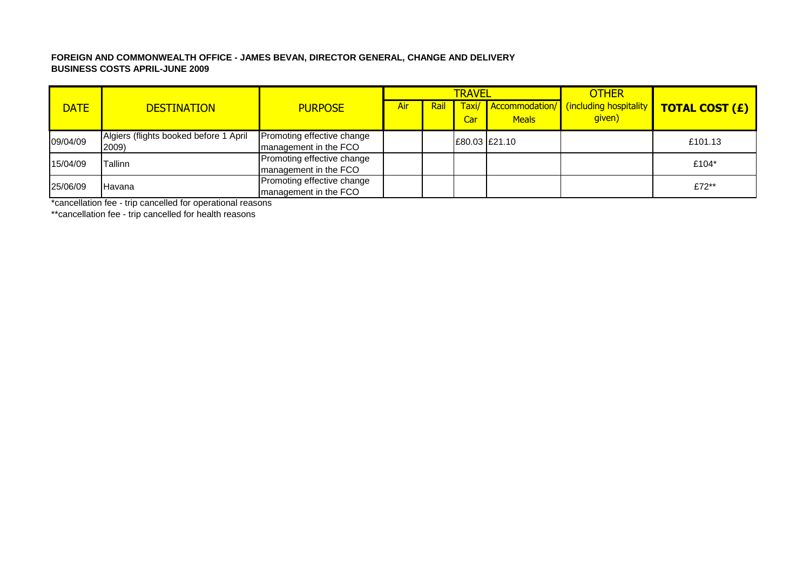#### **FOREIGN AND COMMONWEALTH OFFICE - JAMES BEVAN, DIRECTOR GENERAL, CHANGE AND DELIVERY BUSINESS COSTS APRIL-JUNE 2009**

|             |                                                 |                                                     |     |      | <b>TRAVEL</b> |              | <b>OTHER</b>                                    |                       |
|-------------|-------------------------------------------------|-----------------------------------------------------|-----|------|---------------|--------------|-------------------------------------------------|-----------------------|
| <b>DATE</b> | <b>DESTINATION</b>                              | <b>PURPOSE</b>                                      | Air | Rail | Taxi/<br>Car  | <b>Meals</b> | Accommodation/ (including hospitality<br>given) | <b>TOTAL COST (£)</b> |
| 09/04/09    | Algiers (flights booked before 1 April<br>2009) | Promoting effective change<br>management in the FCO |     |      | E80.03 E21.10 |              |                                                 | £101.13               |
| 15/04/09    | <b>Tallinn</b>                                  | Promoting effective change<br>management in the FCO |     |      |               |              |                                                 | £104*                 |
| 25/06/09    | Havana                                          | Promoting effective change<br>management in the FCO |     |      |               |              |                                                 | £72**                 |

\*cancellation fee - trip cancelled for operational reasons

\*\*cancellation fee - trip cancelled for health reasons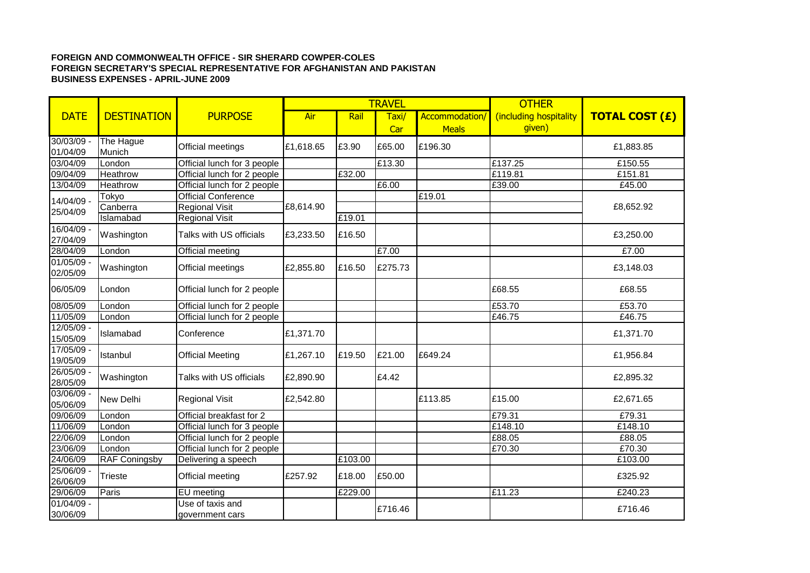#### **FOREIGN AND COMMONWEALTH OFFICE - SIR SHERARD COWPER-COLES FOREIGN SECRETARY'S SPECIAL REPRESENTATIVE FOR AFGHANISTAN AND PAKISTAN BUSINESS EXPENSES - APRIL-JUNE 2009**

|                          |                      |                                     |           |         | <b>TRAVEL</b> |                | <b>OTHER</b>           |                       |
|--------------------------|----------------------|-------------------------------------|-----------|---------|---------------|----------------|------------------------|-----------------------|
| <b>DATE</b>              | <b>DESTINATION</b>   | <b>PURPOSE</b>                      | Air       | Rail    | Taxi/         | Accommodation/ | (including hospitality | <b>TOTAL COST (£)</b> |
|                          |                      |                                     |           |         | Car           | <b>Meals</b>   | given)                 |                       |
| $30/03/09$ -             | The Hague<br>Munich  | Official meetings                   | £1,618.65 | £3.90   | £65.00        | £196.30        |                        | £1,883.85             |
| 01/04/09<br>03/04/09     | London               | Official lunch for 3 people         |           |         | £13.30        |                | £137.25                | £150.55               |
| 09/04/09                 | Heathrow             | Official lunch for 2 people         |           | £32.00  |               |                | £119.81                | £151.81               |
| 13/04/09                 | Heathrow             | Official lunch for 2 people         |           |         | E6.00         |                | £39.00                 | £45.00                |
|                          |                      | <b>Official Conference</b>          |           |         |               | E19.01         |                        |                       |
| 14/04/09 -               | Tokyo<br>Canberra    | <b>Regional Visit</b>               | £8,614.90 |         |               |                |                        | £8,652.92             |
| 25/04/09                 | Islamabad            |                                     |           | £19.01  |               |                |                        |                       |
| 16/04/09 -               |                      | <b>Regional Visit</b>               |           |         |               |                |                        |                       |
| 27/04/09                 | Washington           | Talks with US officials             | £3,233.50 | £16.50  |               |                |                        | £3,250.00             |
| 28/04/09                 | London               | Official meeting                    |           |         | £7.00         |                |                        | £7.00                 |
| $01/05/09$ -<br>02/05/09 | Washington           | Official meetings                   | £2,855.80 | £16.50  | £275.73       |                |                        | £3,148.03             |
| 06/05/09                 | London               | Official lunch for 2 people         |           |         |               |                | £68.55                 | £68.55                |
| 08/05/09                 | London               | Official lunch for 2 people         |           |         |               |                | £53.70                 | £53.70                |
| 11/05/09                 | London               | Official lunch for 2 people         |           |         |               |                | £46.75                 | £46.75                |
| $12/05/09$ -<br>15/05/09 | Islamabad            | Conference                          | £1,371.70 |         |               |                |                        | £1,371.70             |
| $17/05/09$ -<br>19/05/09 | Istanbul             | <b>Official Meeting</b>             | £1,267.10 | £19.50  | £21.00        | £649.24        |                        | £1,956.84             |
| $26/05/09$ -<br>28/05/09 | Washington           | Talks with US officials             | £2,890.90 |         | £4.42         |                |                        | £2,895.32             |
| $03/06/09$ -<br>05/06/09 | <b>New Delhi</b>     | <b>Regional Visit</b>               | £2,542.80 |         |               | £113.85        | £15.00                 | £2,671.65             |
| 09/06/09                 | London               | Official breakfast for 2            |           |         |               |                | £79.31                 | £79.31                |
| 11/06/09                 | London               | Official lunch for 3 people         |           |         |               |                | £148.10                | £148.10               |
| 22/06/09                 | London               | Official lunch for 2 people         |           |         |               |                | £88.05                 | £88.05                |
| 23/06/09                 | London               | Official lunch for 2 people         |           |         |               |                | £70.30                 | £70.30                |
| 24/06/09                 | <b>RAF Coningsby</b> | Delivering a speech                 |           | £103.00 |               |                |                        | £103.00               |
| $25/06/09$ -<br>26/06/09 | Trieste              | Official meeting                    | £257.92   | £18.00  | £50.00        |                |                        | £325.92               |
| 29/06/09                 | Paris                | EU meeting                          |           | £229.00 |               |                | £11.23                 | £240.23               |
| $01/04/09$ -<br>30/06/09 |                      | Use of taxis and<br>government cars |           |         | £716.46       |                |                        | £716.46               |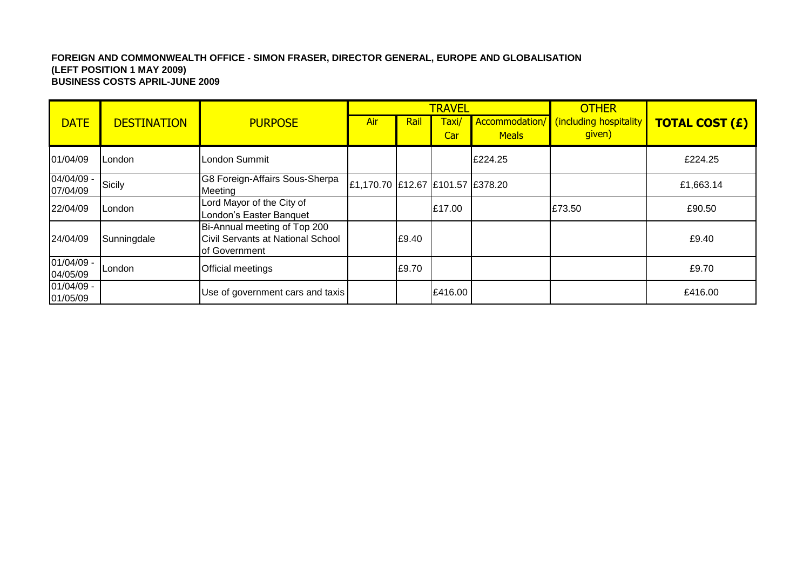#### **FOREIGN AND COMMONWEALTH OFFICE - SIMON FRASER, DIRECTOR GENERAL, EUROPE AND GLOBALISATION (LEFT POSITION 1 MAY 2009) BUSINESS COSTS APRIL-JUNE 2009**

|                          |                    |                                                                                    |                                  |       | <b>TRAVEL</b> |              | <b>OTHER</b>                                    |                       |
|--------------------------|--------------------|------------------------------------------------------------------------------------|----------------------------------|-------|---------------|--------------|-------------------------------------------------|-----------------------|
| <b>DATE</b>              | <b>DESTINATION</b> | <b>PURPOSE</b>                                                                     | Air                              | Rail  | Taxi/<br>Car  | <b>Meals</b> | Accommodation/ (including hospitality<br>given) | <b>TOTAL COST (£)</b> |
| 01/04/09                 | ILondon            | London Summit                                                                      |                                  |       |               | £224.25      |                                                 | £224.25               |
| 04/04/09 -<br>07/04/09   | Sicily             | G8 Foreign-Affairs Sous-Sherpa<br>Meeting                                          | £1,170.70 £12.67 £101.57 £378.20 |       |               |              |                                                 | £1,663.14             |
| 22/04/09                 | <b>London</b>      | Lord Mayor of the City of<br>London's Easter Banquet                               |                                  |       | E17.00        |              | £73.50                                          | £90.50                |
| 24/04/09                 | Sunningdale        | Bi-Annual meeting of Top 200<br>Civil Servants at National School<br>of Government |                                  | £9.40 |               |              |                                                 | £9.40                 |
| 01/04/09 -<br>04/05/09   | <b>I</b> London    | Official meetings                                                                  |                                  | £9.70 |               |              |                                                 | £9.70                 |
| $01/04/09 -$<br>01/05/09 |                    | Use of government cars and taxis                                                   |                                  |       | E416.00       |              |                                                 | £416.00               |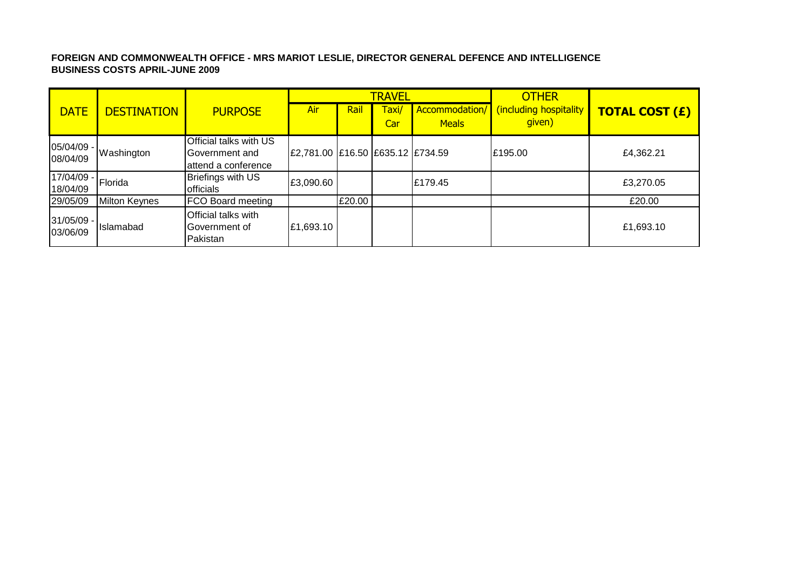## **FOREIGN AND COMMONWEALTH OFFICE - MRS MARIOT LESLIE, DIRECTOR GENERAL DEFENCE AND INTELLIGENCE BUSINESS COSTS APRIL-JUNE 2009**

|                             |                      |                                                  |                                  |        | <b>TRAVEL</b> |                                | <b>OTHER</b>                     |                       |
|-----------------------------|----------------------|--------------------------------------------------|----------------------------------|--------|---------------|--------------------------------|----------------------------------|-----------------------|
| <b>DATE</b>                 | <b>DESTINATION</b>   | <b>PURPOSE</b>                                   | Air                              | Rail   | Taxi/<br>Car  | Accommodation/<br><b>Meals</b> | (including hospitality<br>given) | <b>TOTAL COST (£)</b> |
|                             |                      | Official talks with US                           |                                  |        |               |                                |                                  |                       |
| $ 05/04/09 -  $<br>08/04/09 | Washington           | Government and<br>attend a conference            | £2,781.00 £16.50 £635.12 £734.59 |        |               |                                | £195.00                          | £4,362.21             |
| 17/04/09 -<br>18/04/09      | Florida              | Briefings with US<br>officials                   | £3,090.60                        |        |               | £179.45                        |                                  | £3,270.05             |
| 29/05/09                    | <b>Milton Keynes</b> | <b>FCO Board meeting</b>                         |                                  | £20.00 |               |                                |                                  | £20.00                |
| 31/05/09 -<br>03/06/09      | Islamabad            | Official talks with<br>Government of<br>Pakistan | £1,693.10                        |        |               |                                |                                  | £1,693.10             |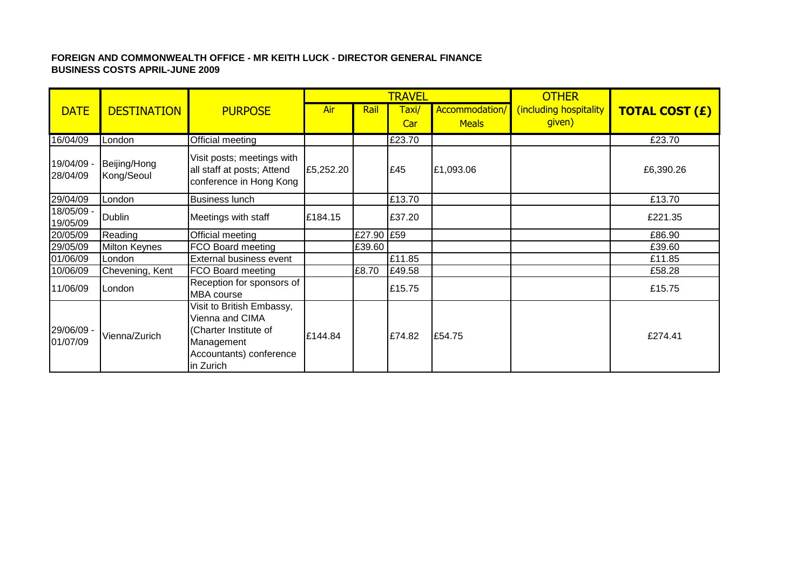## **FOREIGN AND COMMONWEALTH OFFICE - MR KEITH LUCK - DIRECTOR GENERAL FINANCE BUSINESS COSTS APRIL-JUNE 2009**

|                        |                            |                                                                                                                             |           |            | <b>TRAVEL</b> |                                | <b>OTHER</b>                     |                       |
|------------------------|----------------------------|-----------------------------------------------------------------------------------------------------------------------------|-----------|------------|---------------|--------------------------------|----------------------------------|-----------------------|
| <b>DATE</b>            | <b>DESTINATION</b>         | <b>PURPOSE</b>                                                                                                              | Air       | Rail       | Taxi/<br>Car  | Accommodation/<br><b>Meals</b> | including hospitality)<br>given) | <b>TOTAL COST (£)</b> |
| 16/04/09               | London                     | <b>Official meeting</b>                                                                                                     |           |            | £23.70        |                                |                                  | £23.70                |
| 19/04/09 -<br>28/04/09 | Beijing/Hong<br>Kong/Seoul | Visit posts; meetings with<br>all staff at posts; Attend<br>conference in Hong Kong                                         | £5,252.20 |            | £45           | £1,093.06                      |                                  | £6,390.26             |
| 29/04/09               | London                     | <b>Business lunch</b>                                                                                                       |           |            | £13.70        |                                |                                  | £13.70                |
| 18/05/09 -<br>19/05/09 | Dublin                     | Meetings with staff                                                                                                         | £184.15   |            | £37.20        |                                |                                  | £221.35               |
| 20/05/09               | Reading                    | Official meeting                                                                                                            |           | £27.90 £59 |               |                                |                                  | £86.90                |
| 29/05/09               | Milton Keynes              | FCO Board meeting                                                                                                           |           | £39.60     |               |                                |                                  | £39.60                |
| 01/06/09               | London                     | External business event                                                                                                     |           |            | £11.85        |                                |                                  | £11.85                |
| 10/06/09               | Chevening, Kent            | FCO Board meeting                                                                                                           |           | £8.70      | £49.58        |                                |                                  | £58.28                |
| 11/06/09               | London                     | Reception for sponsors of<br><b>MBA</b> course                                                                              |           |            | £15.75        |                                |                                  | £15.75                |
| 29/06/09<br>01/07/09   | Vienna/Zurich              | Visit to British Embassy,<br>Vienna and CIMA<br>(Charter Institute of<br>Management<br>Accountants) conference<br>in Zurich | £144.84   |            | £74.82        | £54.75                         |                                  | £274.41               |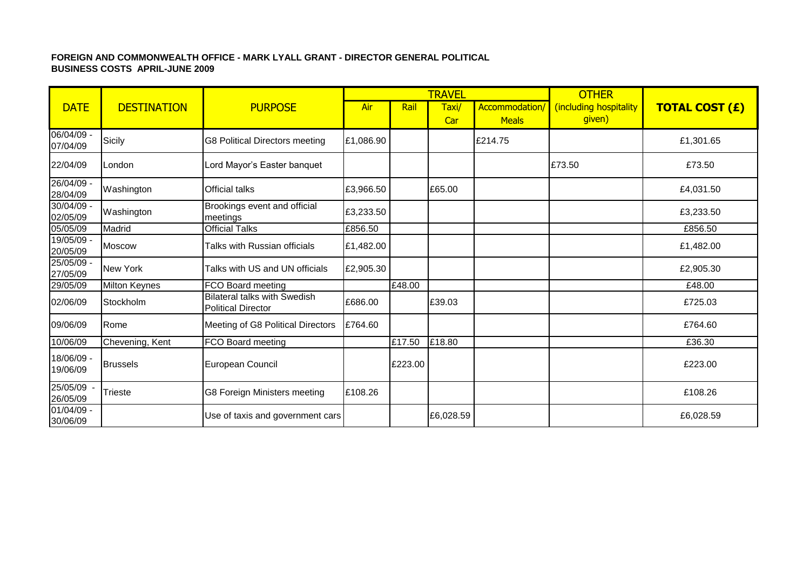## **FOREIGN AND COMMONWEALTH OFFICE - MARK LYALL GRANT - DIRECTOR GENERAL POLITICAL BUSINESS COSTS APRIL-JUNE 2009**

|                        |                    |                                                                  |           |         | <b>TRAVEL</b> |                               | <b>OTHER</b>                     |                       |
|------------------------|--------------------|------------------------------------------------------------------|-----------|---------|---------------|-------------------------------|----------------------------------|-----------------------|
| <b>DATE</b>            | <b>DESTINATION</b> | <b>PURPOSE</b>                                                   | Air       | Rail    | Taxi/<br>Car  | Accommodation<br><b>Meals</b> | (including hospitality<br>given) | <b>TOTAL COST (£)</b> |
| 06/04/09 -<br>07/04/09 | Sicily             | <b>G8 Political Directors meeting</b>                            | £1,086.90 |         |               | £214.75                       |                                  | £1,301.65             |
| 22/04/09               | London             | Lord Mayor's Easter banquet                                      |           |         |               |                               | £73.50                           | £73.50                |
| 26/04/09 -<br>28/04/09 | Washington         | <b>Official talks</b>                                            | £3,966.50 |         | £65.00        |                               |                                  | £4,031.50             |
| 30/04/09 -<br>02/05/09 | Washington         | Brookings event and official<br>meetings                         | £3,233.50 |         |               |                               |                                  | £3,233.50             |
| 05/05/09               | Madrid             | <b>Official Talks</b>                                            | £856.50   |         |               |                               |                                  | £856.50               |
| 19/05/09 -<br>20/05/09 | <b>Moscow</b>      | Talks with Russian officials                                     | £1,482.00 |         |               |                               |                                  | £1,482.00             |
| 25/05/09 -<br>27/05/09 | New York           | Talks with US and UN officials                                   | £2,905.30 |         |               |                               |                                  | £2,905.30             |
| 29/05/09               | Milton Keynes      | FCO Board meeting                                                |           | £48.00  |               |                               |                                  | £48.00                |
| 02/06/09               | Stockholm          | <b>Bilateral talks with Swedish</b><br><b>Political Director</b> | £686.00   |         | £39.03        |                               |                                  | £725.03               |
| 09/06/09               | Rome               | Meeting of G8 Political Directors                                | £764.60   |         |               |                               |                                  | £764.60               |
| 10/06/09               | Chevening, Kent    | FCO Board meeting                                                |           | £17.50  | £18.80        |                               |                                  | £36.30                |
| 18/06/09 -<br>19/06/09 | <b>Brussels</b>    | European Council                                                 |           | £223.00 |               |                               |                                  | £223.00               |
| 25/05/09<br>26/05/09   | <b>Trieste</b>     | G8 Foreign Ministers meeting                                     | £108.26   |         |               |                               |                                  | £108.26               |
| 01/04/09 -<br>30/06/09 |                    | Use of taxis and government cars                                 |           |         | £6,028.59     |                               |                                  | £6,028.59             |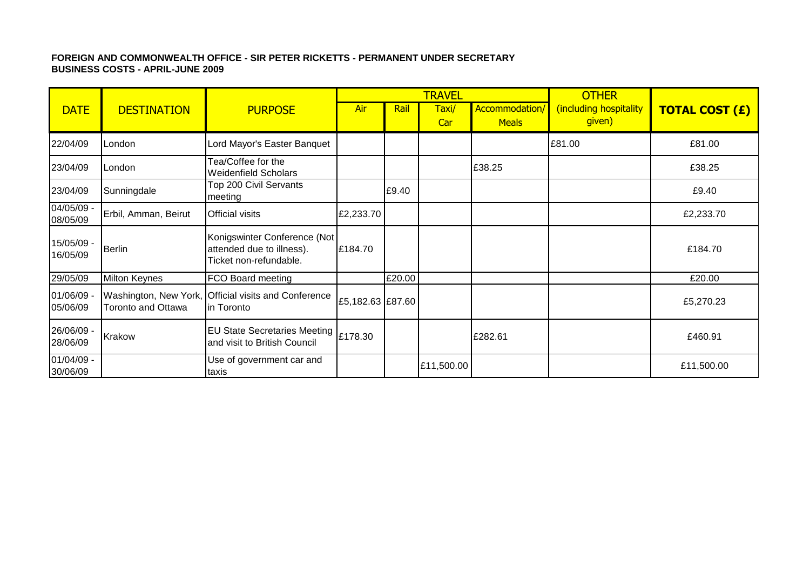## **FOREIGN AND COMMONWEALTH OFFICE - SIR PETER RICKETTS - PERMANENT UNDER SECRETARY BUSINESS COSTS - APRIL-JUNE 2009**

|                          |                                             |                                                                                     |                  |        | <b>TRAVEL</b> |                                | <b>OTHER</b>                     |                       |
|--------------------------|---------------------------------------------|-------------------------------------------------------------------------------------|------------------|--------|---------------|--------------------------------|----------------------------------|-----------------------|
| <b>DATE</b>              | <b>DESTINATION</b>                          | <b>PURPOSE</b>                                                                      | Air              | Rail   | Taxi/<br>Car  | Accommodation/<br><b>Meals</b> | (including hospitality<br>given) | <b>TOTAL COST (£)</b> |
| 22/04/09                 | London                                      | Lord Mayor's Easter Banquet                                                         |                  |        |               |                                | £81.00                           | £81.00                |
| 23/04/09                 | London                                      | Tea/Coffee for the<br><b>Weidenfield Scholars</b>                                   |                  |        |               | £38.25                         |                                  | £38.25                |
| 23/04/09                 | Sunningdale                                 | Top 200 Civil Servants<br>meeting                                                   |                  | £9.40  |               |                                |                                  | £9.40                 |
| 04/05/09 -<br>08/05/09   | Erbil, Amman, Beirut                        | <b>Official visits</b>                                                              | £2,233.70        |        |               |                                |                                  | £2,233.70             |
| 15/05/09 -<br>16/05/09   | <b>Berlin</b>                               | Konigswinter Conference (Not<br>attended due to illness).<br>Ticket non-refundable. | £184.70          |        |               |                                |                                  | £184.70               |
| 29/05/09                 | <b>Milton Keynes</b>                        | FCO Board meeting                                                                   |                  | £20.00 |               |                                |                                  | £20.00                |
| 01/06/09 -<br>05/06/09   | Washington, New York,<br>Toronto and Ottawa | <b>Official visits and Conference</b><br>in Toronto                                 | £5,182.63 £87.60 |        |               |                                |                                  | £5,270.23             |
| 26/06/09 -<br>28/06/09   | Krakow                                      | EU State Secretaries Meeting   £178.30<br>and visit to British Council              |                  |        |               | £282.61                        |                                  | £460.91               |
| $01/04/09 -$<br>30/06/09 |                                             | Use of government car and<br>taxis                                                  |                  |        | £11,500.00    |                                |                                  | £11,500.00            |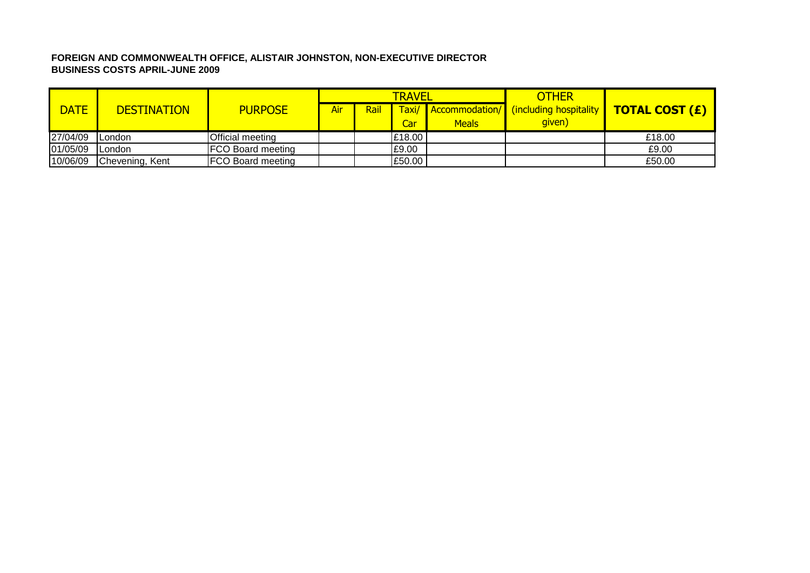# **FOREIGN AND COMMONWEALTH OFFICE, ALISTAIR JOHNSTON, NON-EXECUTIVE DIRECTOR BUSINESS COSTS APRIL-JUNE 2009**

|             |                    |                          |     |      | <b>TRAVEL</b> |              | <b>OTHER</b>                                       |                       |
|-------------|--------------------|--------------------------|-----|------|---------------|--------------|----------------------------------------------------|-----------------------|
| <b>DATE</b> | <b>DESTINATION</b> | <b>PURPOSE</b>           | Air | Rail |               |              | <b>Taxi/</b> Accommodation/ (including hospitality | <b>TOTAL COST (£)</b> |
|             |                    |                          |     |      | Car           | <b>Meals</b> | given)                                             |                       |
| 27/04/09    | ILondon            | <b>Official meeting</b>  |     |      | £18.00        |              |                                                    | £18.00                |
| 01/05/09    | ILondon            | <b>FCO Board meeting</b> |     |      | £9.00         |              |                                                    | £9.00                 |
| 10/06/09    | Chevening, Kent    | <b>FCO Board meeting</b> |     |      | £50.00        |              |                                                    | £50.00                |